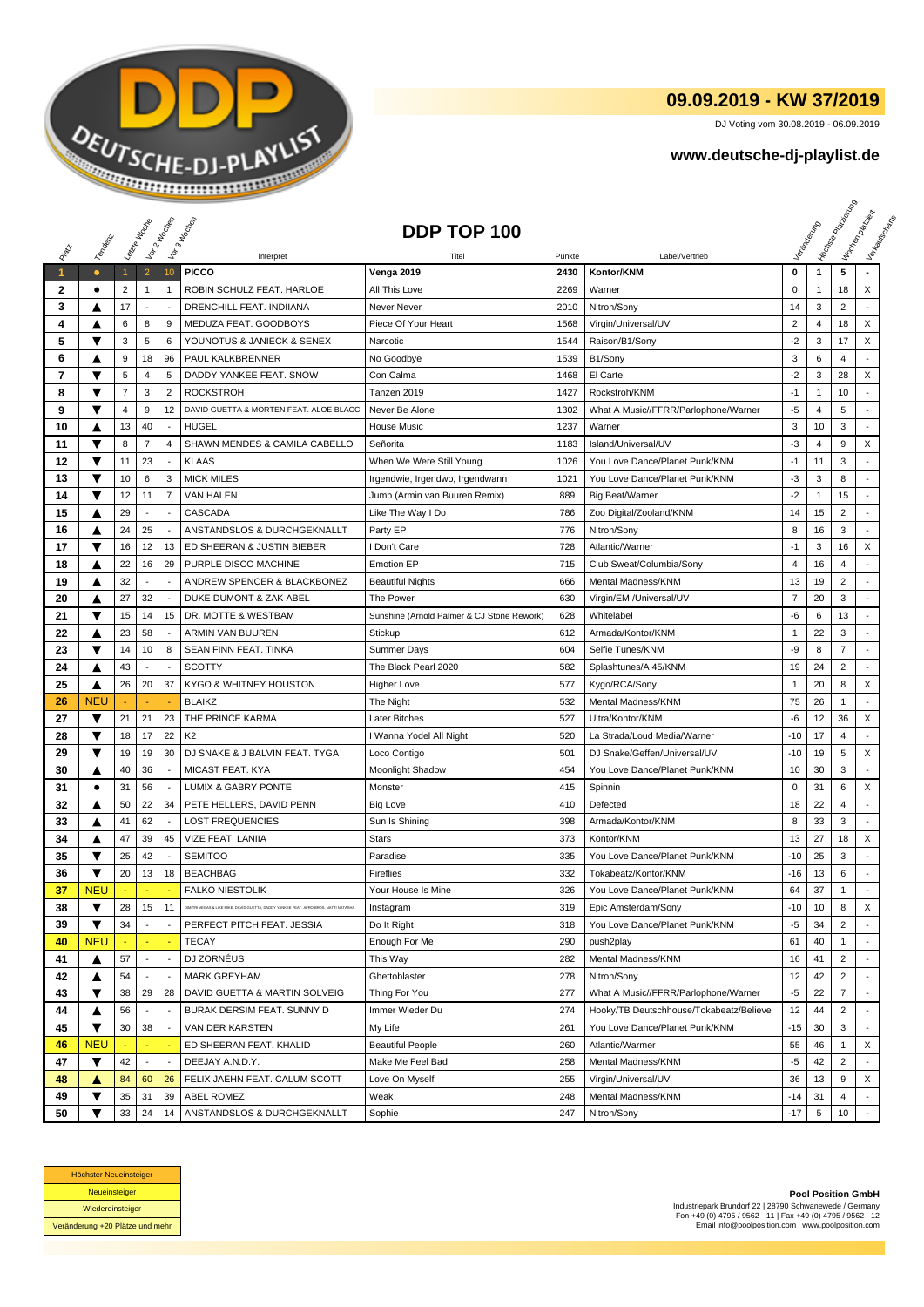

## **09.09.2019 - KW 37/2019**

DJ Voting vom 30.08.2019 - 06.09.2019

## **www.deutsche-dj-playlist.de**

|              |            |                | Laizze Indoop            | Vor 2 Hoopey             | Vor3 Incorps                                                                         | DDP TOP 100                                |        |                                         |                |                 | <b>Licitorial Principal Assistance</b> | I trocken palacer<br>Verkaufschaft |
|--------------|------------|----------------|--------------------------|--------------------------|--------------------------------------------------------------------------------------|--------------------------------------------|--------|-----------------------------------------|----------------|-----------------|----------------------------------------|------------------------------------|
|              | Temporal   |                |                          |                          | Interpret                                                                            | Titel                                      | Punkte | Label/Vertrieb                          |                |                 |                                        |                                    |
| $\mathbf{1}$ | $\bullet$  | $\mathbf{1}$   | $\overline{2}$           | 10                       | <b>PICCO</b>                                                                         | Venga 2019                                 | 2430   | Kontor/KNM                              | $\bf{0}$       | $\mathbf{1}$    | 5                                      |                                    |
| $\mathbf{2}$ | $\bullet$  | $\overline{2}$ | $\mathbf{1}$             | $\mathbf{1}$             | ROBIN SCHULZ FEAT. HARLOE                                                            | All This Love                              | 2269   | Warner                                  | 0              | 1               | 18                                     | X                                  |
| 3            | ▲          | 17             | $\overline{\phantom{a}}$ | $\overline{\phantom{a}}$ | DRENCHILL FEAT. INDIIANA                                                             | Never Never                                | 2010   | Nitron/Sony                             | 14             | 3               | $\overline{2}$                         |                                    |
| 4            | A          | 6              | 8                        | 9                        | MEDUZA FEAT. GOODBOYS                                                                | Piece Of Your Heart                        | 1568   | Virgin/Universal/UV                     | $\overline{2}$ | 4               | 18                                     | X                                  |
| 5            | ▼          | 3              | 5                        | 6                        | YOUNOTUS & JANIECK & SENEX                                                           | Narcotic                                   | 1544   | Raison/B1/Sony                          | $-2$           | 3               | 17                                     | X                                  |
| 6            | ▲          | 9              | 18                       | 96                       | PAUL KALKBRENNER                                                                     | No Goodbye                                 | 1539   | B1/Sony                                 | 3              | 6               | 4                                      |                                    |
| 7            | ▼          | $\sqrt{5}$     | $\overline{4}$           | 5                        | DADDY YANKEE FEAT, SNOW                                                              | Con Calma                                  | 1468   | El Cartel                               | $-2$           | 3               | 28                                     | X                                  |
| 8            | ▼          | $\overline{7}$ | 3                        | $\overline{2}$           | <b>ROCKSTROH</b>                                                                     | Tanzen 2019                                | 1427   | Rockstroh/KNM                           | $-1$           | $\mathbf{1}$    | 10                                     | ٠                                  |
| 9            | ▼          | 4              | 9                        | 12                       | DAVID GUETTA & MORTEN FEAT, ALOE BLACC                                               | Never Be Alone                             | 1302   | What A Music//FFRR/Parlophone/Warner    | $-5$           | 4               | 5                                      |                                    |
| 10           | ▲          | 13             | 40                       |                          | <b>HUGEL</b>                                                                         | <b>House Music</b>                         | 1237   | Warner                                  | 3              | 10              | 3                                      |                                    |
| 11           | ▼          | 8              | $\overline{7}$           | $\overline{4}$           | SHAWN MENDES & CAMILA CABELLO                                                        | Señorita                                   | 1183   | Island/Universal/UV                     | $-3$           | 4               | 9                                      | X                                  |
| 12           | ▼          | 11             | 23                       | $\sim$                   | <b>KLAAS</b>                                                                         | When We Were Still Young                   | 1026   | You Love Dance/Planet Punk/KNM          | $-1$           | 11              | 3                                      |                                    |
| 13           | ▼          | 10             | 6                        | 3                        | <b>MICK MILES</b>                                                                    | Irgendwie, Irgendwo, Irgendwann            | 1021   | You Love Dance/Planet Punk/KNM          | $-3$           | 3               | 8                                      |                                    |
| 14           | ▼          | 12             | 11                       | $\overline{7}$           | VAN HALEN                                                                            | Jump (Armin van Buuren Remix)              | 889    | <b>Big Beat/Warner</b>                  | $-2$           | $\mathbf{1}$    | 15                                     |                                    |
| 15           | ▲          | 29             |                          | ÷,                       | CASCADA                                                                              | Like The Way I Do                          | 786    | Zoo Digital/Zooland/KNM                 | 14             | 15              | $\overline{2}$                         | $\overline{a}$                     |
| 16           | ▲          | 24             | 25                       | $\overline{\phantom{a}}$ | ANSTANDSLOS & DURCHGEKNALLT                                                          | Party EP                                   | 776    | Nitron/Sony                             | 8              | 16              | 3                                      |                                    |
| 17           | ▼          | 16             | 12                       | 13                       | ED SHEERAN & JUSTIN BIEBER                                                           | I Don't Care                               | 728    | Atlantic/Warner                         | $-1$           | 3               | 16                                     | X                                  |
| 18           | ▲          | 22             | 16                       | 29                       | PURPLE DISCO MACHINE                                                                 | <b>Emotion EP</b>                          | 715    | Club Sweat/Columbia/Sony                | $\overline{4}$ | 16              | 4                                      |                                    |
| 19           | ▲          | 32             | $\overline{\phantom{a}}$ | $\overline{\phantom{a}}$ | ANDREW SPENCER & BLACKBONEZ                                                          | <b>Beautiful Nights</b>                    | 666    | Mental Madness/KNM                      | 13             | 19              | $\overline{2}$                         |                                    |
| 20           | ▲          | 27             | 32                       |                          | DUKE DUMONT & ZAK ABEL                                                               | The Power                                  | 630    | Virgin/EMI/Universal/UV                 | $\overline{7}$ | 20              | 3                                      | ÷,                                 |
| 21           | ▼          | 15             | 14                       | 15                       | DR. MOTTE & WESTBAM                                                                  | Sunshine (Arnold Palmer & CJ Stone Rework) | 628    | Whitelabel                              | -6             | 6               | 13                                     | ٠                                  |
| 22           | ▲          | 23             | 58                       | $\overline{\phantom{a}}$ | ARMIN VAN BUUREN                                                                     | Stickup                                    | 612    | Armada/Kontor/KNM                       | $\mathbf{1}$   | 22              | 3                                      |                                    |
| 23           | ▼          | 14             | 10                       | 8                        | SEAN FINN FEAT. TINKA                                                                | <b>Summer Days</b>                         | 604    | Selfie Tunes/KNM                        | -9             | 8               | $\overline{7}$                         |                                    |
| 24           | ▲          | 43             | $\overline{\phantom{a}}$ | $\overline{\phantom{a}}$ | <b>SCOTTY</b>                                                                        | The Black Pearl 2020                       | 582    | Splashtunes/A 45/KNM                    | 19             | 24              | $\overline{2}$                         |                                    |
| 25           | ▲          | 26             | 20                       | 37                       | KYGO & WHITNEY HOUSTON                                                               | <b>Higher Love</b>                         | 577    | Kygo/RCA/Sony                           | $\overline{1}$ | 20              | 8                                      | X                                  |
| 26           | <b>NEU</b> |                |                          |                          | <b>BLAIKZ</b>                                                                        | The Night                                  | 532    | Mental Madness/KNM                      | 75             | 26              | 1                                      |                                    |
| 27           | ▼          | 21             | 21                       | 23                       | THE PRINCE KARMA                                                                     | Later Bitches                              | 527    | Ultra/Kontor/KNM                        | -6             | 12              | 36                                     | X                                  |
| 28           | ▼          | 18             | 17                       | 22                       | K <sub>2</sub>                                                                       | I Wanna Yodel All Night                    | 520    | La Strada/Loud Media/Warner             | $-10$          | 17              | 4                                      |                                    |
| 29           | ▼          | 19             | 19                       | 30                       | DJ SNAKE & J BALVIN FEAT. TYGA                                                       | Loco Contigo                               | 501    | DJ Snake/Geffen/Universal/UV            | $-10$          | 19              | 5                                      | X                                  |
| 30           | ▲          | 40             | 36                       | $\overline{\phantom{a}}$ | MICAST FEAT. KYA                                                                     | <b>Moonlight Shadow</b>                    | 454    | You Love Dance/Planet Punk/KNM          | 10             | 30              | 3                                      |                                    |
| 31           | $\bullet$  | 31             | 56                       | $\overline{\phantom{a}}$ | LUM!X & GABRY PONTE                                                                  | Monster                                    | 415    | Spinnin                                 | 0              | 31              | 6                                      | X                                  |
| 32           | ▲          | 50             | 22                       | 34                       | PETE HELLERS, DAVID PENN                                                             | <b>Big Love</b>                            | 410    | Defected                                | 18             | 22              | 4                                      |                                    |
| 33           | ▲          | 41             | 62                       |                          | <b>LOST FREQUENCIES</b>                                                              | Sun Is Shining                             | 398    | Armada/Kontor/KNM                       | 8              | 33              | 3                                      | $\overline{\phantom{a}}$           |
| 34           | ▲          | 47             | 39                       | 45                       | VIZE FEAT. LANIIA                                                                    | <b>Stars</b>                               | 373    | Kontor/KNM                              | 13             | 27              | 18                                     | X                                  |
| 35           | ▼          | 25             | 42                       | $\overline{\phantom{a}}$ | <b>SEMITOO</b>                                                                       | Paradise                                   | 335    | You Love Dance/Planet Punk/KNM          | $-10$          | 25              | 3                                      |                                    |
| 36           | ▼          | 20             | 13                       | 18                       | <b>BEACHBAG</b>                                                                      | Fireflies                                  | 332    | Tokabeatz/Kontor/KNM                    | -16            | 13              | 6                                      |                                    |
| 37           | <b>NEU</b> |                |                          | ÷                        | <b>FALKO NIESTOLIK</b>                                                               | Your House Is Mine                         | 326    | You Love Dance/Planet Punk/KNM          | 64             | 37              | 1                                      | $\overline{\phantom{a}}$           |
| 38           | ▼          | 28             | 15                       | 11                       | DIMITRI VEGAS & LIKE MIKE, DAVID GUETTA, DADDY YANKEE FEAT. AFRO BROS, NATTI NATASHA | Instagram                                  | 319    | Epic Amsterdam/Sony                     | -10            | 10              | 8                                      | X                                  |
| 39           | ▼          | 34             | $\blacksquare$           | $\sim$                   | PERFECT PITCH FEAT. JESSIA                                                           | Do It Right                                | 318    | You Love Dance/Planet Punk/KNM          | $-5$           | 34              | $\overline{2}$                         |                                    |
| 40           | <b>NEU</b> |                | $\sim$                   | $\sim$                   | <b>TECAY</b>                                                                         | Enough For Me                              | 290    | push2play                               | 61             | 40              | $\mathbf{1}$                           |                                    |
| 41           | ▲          | 57             | $\overline{\phantom{a}}$ |                          | DJ ZORNÉUS                                                                           | This Way                                   | 282    | Mental Madness/KNM                      | 16             | 41              | $\overline{2}$                         |                                    |
| 42           | ▲          | 54             |                          |                          | <b>MARK GREYHAM</b>                                                                  | Ghettoblaster                              | 278    | Nitron/Sony                             | 12             | 42              | $\overline{2}$                         |                                    |
| 43           | ▼          | 38             | 29                       | 28                       | DAVID GUETTA & MARTIN SOLVEIG                                                        | Thing For You                              | 277    | What A Music//FFRR/Parlophone/Warner    | $-5$           | 22              | $\overline{7}$                         |                                    |
| 44           | ▲          | 56             |                          |                          | BURAK DERSIM FEAT. SUNNY D                                                           | Immer Wieder Du                            | 274    | Hooky/TB Deutschhouse/Tokabeatz/Believe | 12             | 44              | $\overline{2}$                         |                                    |
| 45           | ▼          | 30             | 38                       |                          | VAN DER KARSTEN                                                                      | My Life                                    | 261    | You Love Dance/Planet Punk/KNM          | $-15$          | 30              | 3                                      |                                    |
| 46           | <b>NEU</b> |                |                          | $\overline{\phantom{a}}$ | ED SHEERAN FEAT. KHALID                                                              | <b>Beautiful People</b>                    | 260    | Atlantic/Warmer                         | 55             | 46              | $\mathbf{1}$                           | X                                  |
| 47           | ▼          | 42             | $\overline{\phantom{a}}$ | $\overline{\phantom{a}}$ | DEEJAY A.N.D.Y.                                                                      | Make Me Feel Bad                           | 258    | Mental Madness/KNM                      | $-5$           | 42              | $\overline{2}$                         |                                    |
| 48           | ▲          | 84             | 60                       | 26                       | FELIX JAEHN FEAT. CALUM SCOTT                                                        | Love On Myself                             | 255    | Virgin/Universal/UV                     | 36             | 13              | 9                                      | X                                  |
| 49           | ▼          | 35             | 31                       | 39                       | <b>ABEL ROMEZ</b>                                                                    | Weak                                       | 248    | Mental Madness/KNM                      | -14            | 31              | 4                                      |                                    |
| 50           | ▼          | 33             | 24                       | 14                       | ANSTANDSLOS & DURCHGEKNALLT                                                          | Sophie                                     | 247    | Nitron/Sony                             | -17            | $5\phantom{.0}$ | 10                                     |                                    |



**Pool Position GmbH** Industriepark Brundorf 22 | 28790 Schwanewede / Germany Fon +49 (0) 4795 / 9562 - 11 | Fax +49 (0) 4795 / 9562 - 12 Email info@poolposition.com | www.poolposition.com